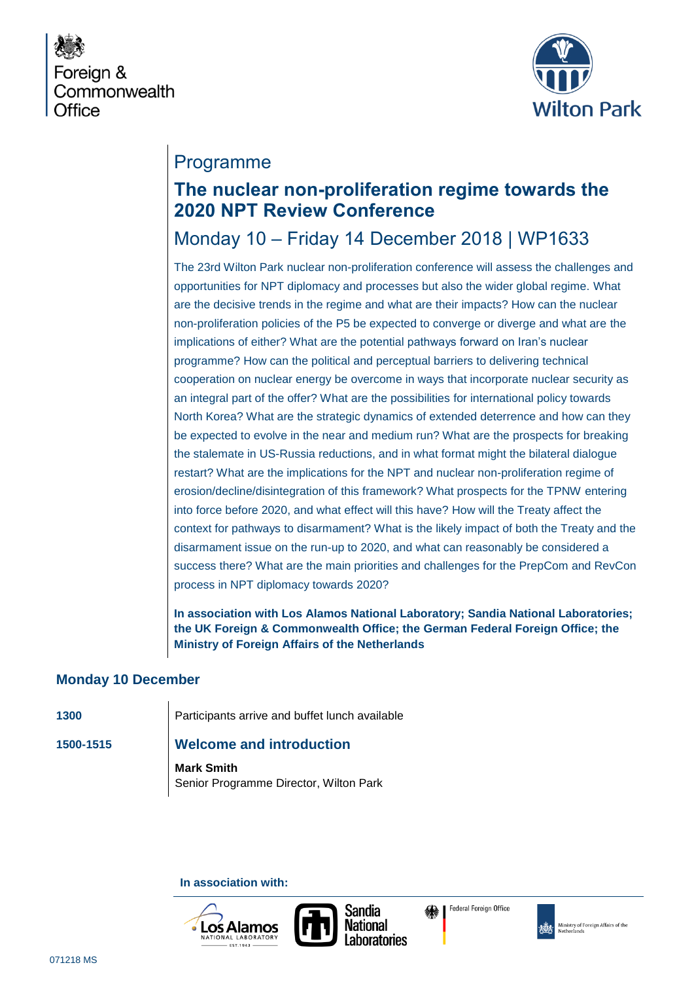



# Programme

# **The nuclear non-proliferation regime towards the 2020 NPT Review Conference**

# Monday 10 – Friday 14 December 2018 | WP1633

The 23rd Wilton Park nuclear non-proliferation conference will assess the challenges and opportunities for NPT diplomacy and processes but also the wider global regime. What are the decisive trends in the regime and what are their impacts? How can the nuclear non-proliferation policies of the P5 be expected to converge or diverge and what are the implications of either? What are the potential pathways forward on Iran's nuclear programme? How can the political and perceptual barriers to delivering technical cooperation on nuclear energy be overcome in ways that incorporate nuclear security as an integral part of the offer? What are the possibilities for international policy towards North Korea? What are the strategic dynamics of extended deterrence and how can they be expected to evolve in the near and medium run? What are the prospects for breaking the stalemate in US-Russia reductions, and in what format might the bilateral dialogue restart? What are the implications for the NPT and nuclear non-proliferation regime of erosion/decline/disintegration of this framework? What prospects for the TPNW entering into force before 2020, and what effect will this have? How will the Treaty affect the context for pathways to disarmament? What is the likely impact of both the Treaty and the disarmament issue on the run-up to 2020, and what can reasonably be considered a success there? What are the main priorities and challenges for the PrepCom and RevCon process in NPT diplomacy towards 2020?

**In association with Los Alamos National Laboratory; Sandia National Laboratories; the UK Foreign & Commonwealth Office; the German Federal Foreign Office; the Ministry of Foreign Affairs of the Netherlands**

## **Monday 10 December**

**1300** Participants arrive and buffet lunch available

## **1500-1515 Welcome and introduction**

**Mark Smith** Senior Programme Director, Wilton Park

#### **In association with:**





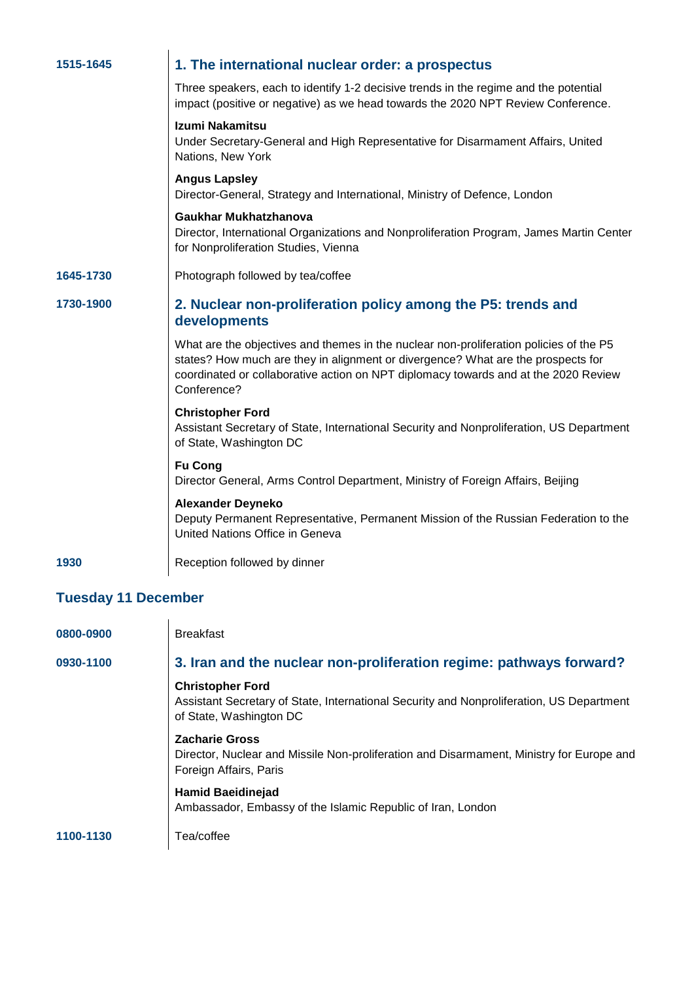| 1515-1645                  | 1. The international nuclear order: a prospectus                                                                                                                                                                                                                                 |
|----------------------------|----------------------------------------------------------------------------------------------------------------------------------------------------------------------------------------------------------------------------------------------------------------------------------|
|                            | Three speakers, each to identify 1-2 decisive trends in the regime and the potential<br>impact (positive or negative) as we head towards the 2020 NPT Review Conference.                                                                                                         |
|                            | Izumi Nakamitsu<br>Under Secretary-General and High Representative for Disarmament Affairs, United<br>Nations, New York                                                                                                                                                          |
|                            | <b>Angus Lapsley</b><br>Director-General, Strategy and International, Ministry of Defence, London                                                                                                                                                                                |
|                            | Gaukhar Mukhatzhanova<br>Director, International Organizations and Nonproliferation Program, James Martin Center<br>for Nonproliferation Studies, Vienna                                                                                                                         |
| 1645-1730                  | Photograph followed by tea/coffee                                                                                                                                                                                                                                                |
| 1730-1900                  | 2. Nuclear non-proliferation policy among the P5: trends and<br>developments                                                                                                                                                                                                     |
|                            | What are the objectives and themes in the nuclear non-proliferation policies of the P5<br>states? How much are they in alignment or divergence? What are the prospects for<br>coordinated or collaborative action on NPT diplomacy towards and at the 2020 Review<br>Conference? |
|                            | <b>Christopher Ford</b><br>Assistant Secretary of State, International Security and Nonproliferation, US Department<br>of State, Washington DC                                                                                                                                   |
|                            | <b>Fu Cong</b><br>Director General, Arms Control Department, Ministry of Foreign Affairs, Beijing                                                                                                                                                                                |
|                            | <b>Alexander Deyneko</b><br>Deputy Permanent Representative, Permanent Mission of the Russian Federation to the<br>United Nations Office in Geneva                                                                                                                               |
| 1930                       | Reception followed by dinner                                                                                                                                                                                                                                                     |
| <b>Tuesday 11 December</b> |                                                                                                                                                                                                                                                                                  |
| 0800-0900                  | <b>Rrookfoct</b>                                                                                                                                                                                                                                                                 |

| 0800-0900 | <b>Breakfast</b>                                                                                                                               |
|-----------|------------------------------------------------------------------------------------------------------------------------------------------------|
| 0930-1100 | 3. Iran and the nuclear non-proliferation regime: pathways forward?                                                                            |
|           | <b>Christopher Ford</b><br>Assistant Secretary of State, International Security and Nonproliferation, US Department<br>of State, Washington DC |
|           | <b>Zacharie Gross</b><br>Director, Nuclear and Missile Non-proliferation and Disarmament, Ministry for Europe and<br>Foreign Affairs, Paris    |
|           | <b>Hamid Baeidinejad</b><br>Ambassador, Embassy of the Islamic Republic of Iran, London                                                        |
| 1100-1130 | Tea/coffee                                                                                                                                     |
|           |                                                                                                                                                |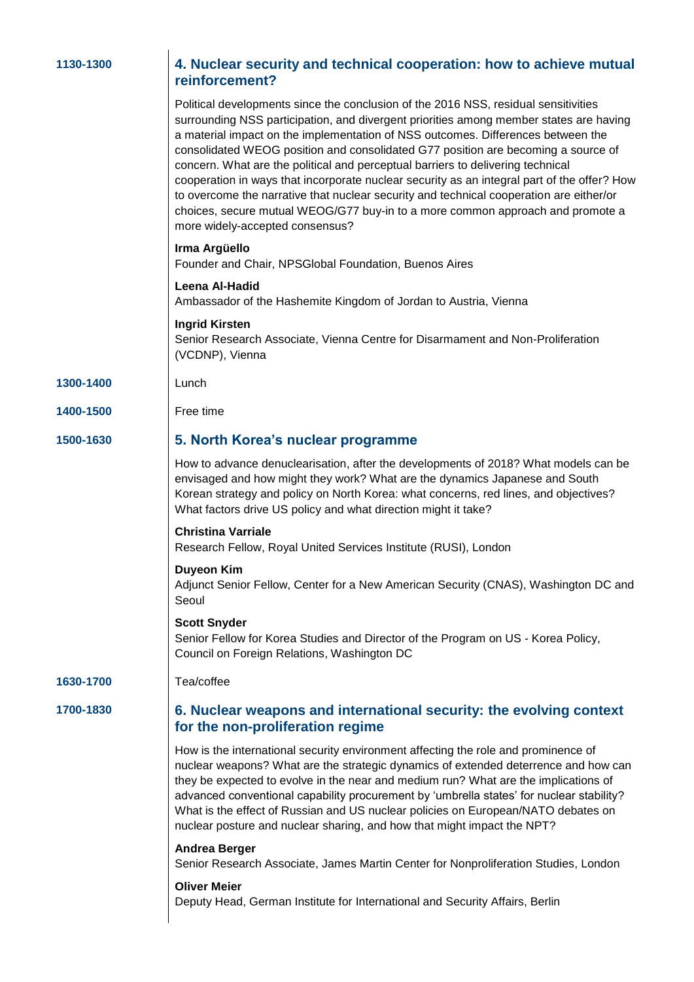|  |  | 1130-1300 |  |  |  |
|--|--|-----------|--|--|--|
|--|--|-----------|--|--|--|

#### **4. Nuclear security and technical cooperation: how to achieve mutual reinforcement?**

Political developments since the conclusion of the 2016 NSS, residual sensitivities surrounding NSS participation, and divergent priorities among member states are having a material impact on the implementation of NSS outcomes. Differences between the consolidated WEOG position and consolidated G77 position are becoming a source of concern. What are the political and perceptual barriers to delivering technical cooperation in ways that incorporate nuclear security as an integral part of the offer? How to overcome the narrative that nuclear security and technical cooperation are either/or choices, secure mutual WEOG/G77 buy-in to a more common approach and promote a more widely-accepted consensus?

#### **Irma Argüello**

Founder and Chair, NPSGlobal Foundation, Buenos Aires

#### **Leena Al-Hadid**

Ambassador of the Hashemite Kingdom of Jordan to Austria, Vienna

#### **Ingrid Kirsten**

Senior Research Associate, Vienna Centre for Disarmament and Non-Proliferation (VCDNP), Vienna

#### **1300-1400** Lunch

**1400-1500** Free time

## **1500-1630 5. North Korea's nuclear programme**

How to advance denuclearisation, after the developments of 2018? What models can be envisaged and how might they work? What are the dynamics Japanese and South Korean strategy and policy on North Korea: what concerns, red lines, and objectives? What factors drive US policy and what direction might it take?

#### **Christina Varriale**

Research Fellow, Royal United Services Institute (RUSI), London

#### **Duyeon Kim**

Adjunct Senior Fellow, Center for a New American Security (CNAS), Washington DC and Seoul

#### **Scott Snyder**

Senior Fellow for Korea Studies and Director of the Program on US - Korea Policy, Council on Foreign Relations, Washington DC

#### **1630-1700** Tea/coffee

### **1700-1830 6. Nuclear weapons and international security: the evolving context for the non-proliferation regime**

How is the international security environment affecting the role and prominence of nuclear weapons? What are the strategic dynamics of extended deterrence and how can they be expected to evolve in the near and medium run? What are the implications of advanced conventional capability procurement by 'umbrella states' for nuclear stability? What is the effect of Russian and US nuclear policies on European/NATO debates on nuclear posture and nuclear sharing, and how that might impact the NPT?

#### **Andrea Berger**

Senior Research Associate, James Martin Center for Nonproliferation Studies, London

#### **Oliver Meier**

Deputy Head, German Institute for International and Security Affairs, Berlin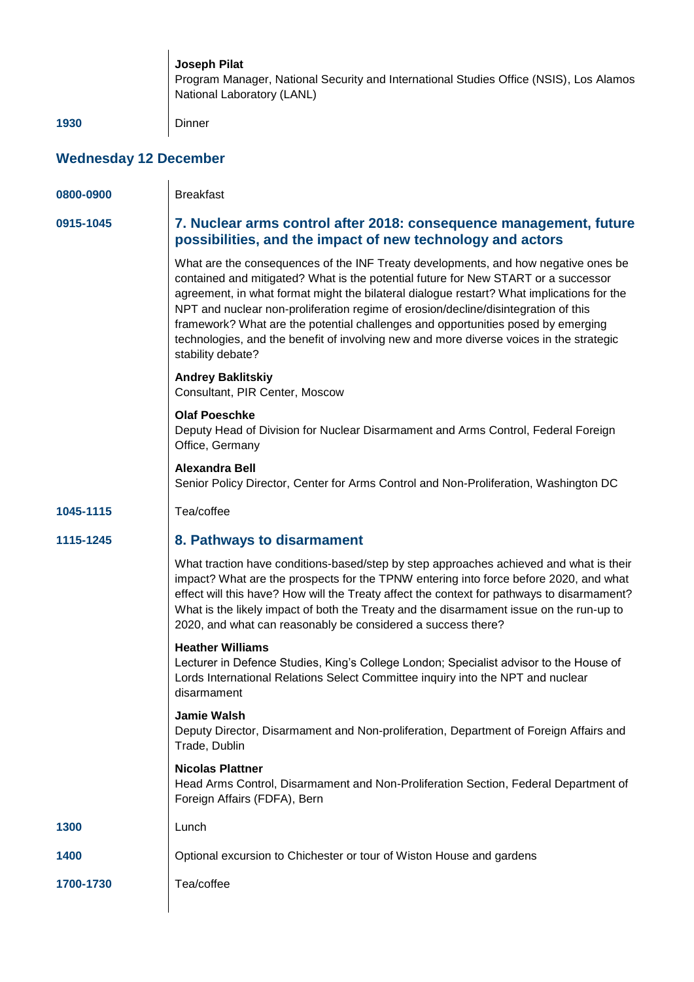**Joseph Pilat** Program Manager, National Security and International Studies Office (NSIS), Los Alamos National Laboratory (LANL)

**1930** Dinner

## **Wednesday 12 December**

| 0800-0900 | <b>Breakfast</b>                                                                                                                                                                                                                                                                                                                                                                                                                                                                                                                                                |  |
|-----------|-----------------------------------------------------------------------------------------------------------------------------------------------------------------------------------------------------------------------------------------------------------------------------------------------------------------------------------------------------------------------------------------------------------------------------------------------------------------------------------------------------------------------------------------------------------------|--|
| 0915-1045 | 7. Nuclear arms control after 2018: consequence management, future<br>possibilities, and the impact of new technology and actors                                                                                                                                                                                                                                                                                                                                                                                                                                |  |
|           | What are the consequences of the INF Treaty developments, and how negative ones be<br>contained and mitigated? What is the potential future for New START or a successor<br>agreement, in what format might the bilateral dialogue restart? What implications for the<br>NPT and nuclear non-proliferation regime of erosion/decline/disintegration of this<br>framework? What are the potential challenges and opportunities posed by emerging<br>technologies, and the benefit of involving new and more diverse voices in the strategic<br>stability debate? |  |
|           | <b>Andrey Baklitskiy</b><br>Consultant, PIR Center, Moscow                                                                                                                                                                                                                                                                                                                                                                                                                                                                                                      |  |
|           | <b>Olaf Poeschke</b><br>Deputy Head of Division for Nuclear Disarmament and Arms Control, Federal Foreign<br>Office, Germany                                                                                                                                                                                                                                                                                                                                                                                                                                    |  |
|           | <b>Alexandra Bell</b><br>Senior Policy Director, Center for Arms Control and Non-Proliferation, Washington DC                                                                                                                                                                                                                                                                                                                                                                                                                                                   |  |
| 1045-1115 | Tea/coffee                                                                                                                                                                                                                                                                                                                                                                                                                                                                                                                                                      |  |
| 1115-1245 | 8. Pathways to disarmament                                                                                                                                                                                                                                                                                                                                                                                                                                                                                                                                      |  |
|           | What traction have conditions-based/step by step approaches achieved and what is their<br>impact? What are the prospects for the TPNW entering into force before 2020, and what<br>effect will this have? How will the Treaty affect the context for pathways to disarmament?<br>What is the likely impact of both the Treaty and the disarmament issue on the run-up to<br>2020, and what can reasonably be considered a success there?                                                                                                                        |  |
|           | <b>Heather Williams</b><br>Lecturer in Defence Studies, King's College London; Specialist advisor to the House of<br>Lords International Relations Select Committee inquiry into the NPT and nuclear<br>disarmament                                                                                                                                                                                                                                                                                                                                             |  |
|           | <b>Jamie Walsh</b><br>Deputy Director, Disarmament and Non-proliferation, Department of Foreign Affairs and<br>Trade, Dublin                                                                                                                                                                                                                                                                                                                                                                                                                                    |  |
|           | <b>Nicolas Plattner</b><br>Head Arms Control, Disarmament and Non-Proliferation Section, Federal Department of<br>Foreign Affairs (FDFA), Bern                                                                                                                                                                                                                                                                                                                                                                                                                  |  |
| 1300      | Lunch                                                                                                                                                                                                                                                                                                                                                                                                                                                                                                                                                           |  |
| 1400      | Optional excursion to Chichester or tour of Wiston House and gardens                                                                                                                                                                                                                                                                                                                                                                                                                                                                                            |  |
| 1700-1730 | Tea/coffee                                                                                                                                                                                                                                                                                                                                                                                                                                                                                                                                                      |  |
|           |                                                                                                                                                                                                                                                                                                                                                                                                                                                                                                                                                                 |  |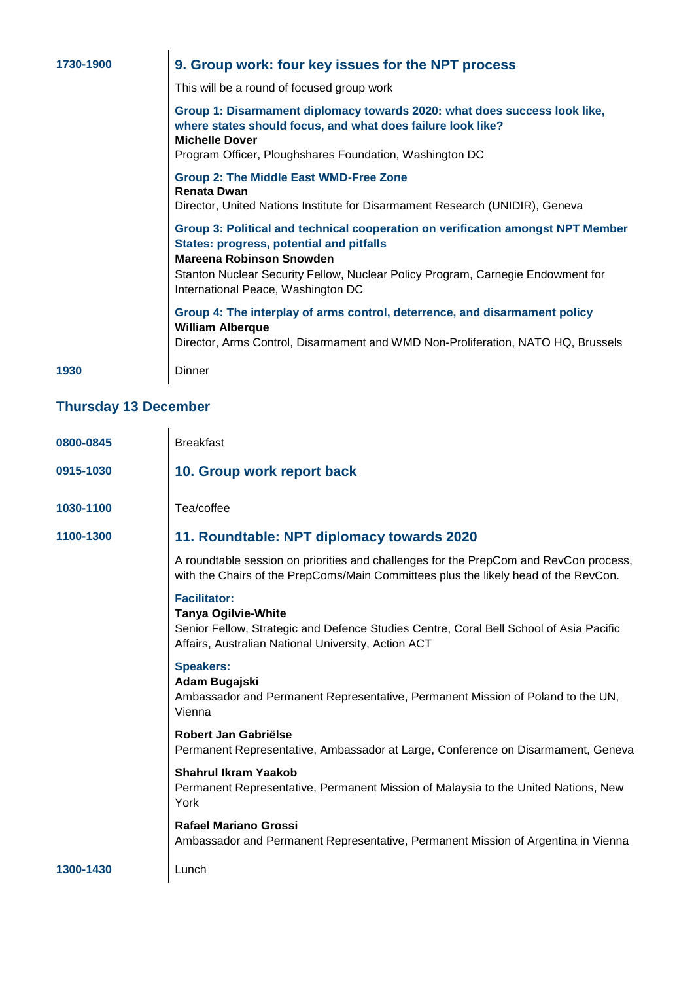| 1730-1900 | 9. Group work: four key issues for the NPT process                                                                                                                                                                           |  |  |
|-----------|------------------------------------------------------------------------------------------------------------------------------------------------------------------------------------------------------------------------------|--|--|
|           | This will be a round of focused group work                                                                                                                                                                                   |  |  |
|           | Group 1: Disarmament diplomacy towards 2020: what does success look like,<br>where states should focus, and what does failure look like?<br><b>Michelle Dover</b><br>Program Officer, Ploughshares Foundation, Washington DC |  |  |
|           |                                                                                                                                                                                                                              |  |  |
|           | <b>Group 2: The Middle East WMD-Free Zone</b><br><b>Renata Dwan</b>                                                                                                                                                          |  |  |
|           | Director, United Nations Institute for Disarmament Research (UNIDIR), Geneva                                                                                                                                                 |  |  |
|           | Group 3: Political and technical cooperation on verification amongst NPT Member<br><b>States: progress, potential and pitfalls</b><br>Mareena Robinson Snowden                                                               |  |  |
|           | Stanton Nuclear Security Fellow, Nuclear Policy Program, Carnegie Endowment for<br>International Peace, Washington DC                                                                                                        |  |  |
|           | Group 4: The interplay of arms control, deterrence, and disarmament policy<br><b>William Alberque</b>                                                                                                                        |  |  |
|           | Director, Arms Control, Disarmament and WMD Non-Proliferation, NATO HQ, Brussels                                                                                                                                             |  |  |
| 1930      | Dinner                                                                                                                                                                                                                       |  |  |

# **Thursday 13 December**

| 0800-0845 | <b>Breakfast</b>                                                                                                                                                                                   |
|-----------|----------------------------------------------------------------------------------------------------------------------------------------------------------------------------------------------------|
| 0915-1030 | 10. Group work report back                                                                                                                                                                         |
| 1030-1100 | Tea/coffee                                                                                                                                                                                         |
| 1100-1300 | 11. Roundtable: NPT diplomacy towards 2020                                                                                                                                                         |
|           | A roundtable session on priorities and challenges for the PrepCom and RevCon process,<br>with the Chairs of the PrepComs/Main Committees plus the likely head of the RevCon.                       |
|           | <b>Facilitator:</b><br><b>Tanya Ogilvie-White</b><br>Senior Fellow, Strategic and Defence Studies Centre, Coral Bell School of Asia Pacific<br>Affairs, Australian National University, Action ACT |
|           | <b>Speakers:</b><br>Adam Bugajski<br>Ambassador and Permanent Representative, Permanent Mission of Poland to the UN,<br>Vienna                                                                     |
|           | Robert Jan Gabriëlse<br>Permanent Representative, Ambassador at Large, Conference on Disarmament, Geneva                                                                                           |
|           | <b>Shahrul Ikram Yaakob</b><br>Permanent Representative, Permanent Mission of Malaysia to the United Nations, New<br>York                                                                          |
|           | <b>Rafael Mariano Grossi</b><br>Ambassador and Permanent Representative, Permanent Mission of Argentina in Vienna                                                                                  |
| 1300-1430 | Lunch                                                                                                                                                                                              |